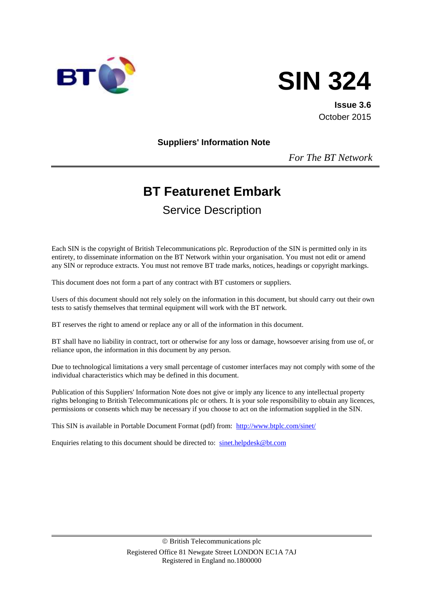



**Issue 3.6** October 2015

**Suppliers' Information Note**

*For The BT Network*

# **BT Featurenet Embark**

Service Description

Each SIN is the copyright of British Telecommunications plc. Reproduction of the SIN is permitted only in its entirety, to disseminate information on the BT Network within your organisation. You must not edit or amend any SIN or reproduce extracts. You must not remove BT trade marks, notices, headings or copyright markings.

This document does not form a part of any contract with BT customers or suppliers.

Users of this document should not rely solely on the information in this document, but should carry out their own tests to satisfy themselves that terminal equipment will work with the BT network.

BT reserves the right to amend or replace any or all of the information in this document.

BT shall have no liability in contract, tort or otherwise for any loss or damage, howsoever arising from use of, or reliance upon, the information in this document by any person.

Due to technological limitations a very small percentage of customer interfaces may not comply with some of the individual characteristics which may be defined in this document.

Publication of this Suppliers' Information Note does not give or imply any licence to any intellectual property rights belonging to British Telecommunications plc or others. It is your sole responsibility to obtain any licences, permissions or consents which may be necessary if you choose to act on the information supplied in the SIN.

This SIN is available in Portable Document Format (pdf) from: <http://www.btplc.com/sinet/>

Enquiries relating to this document should be directed to: [sinet.helpdesk@bt.com](mailto:sinet.helpdesk@bt.com)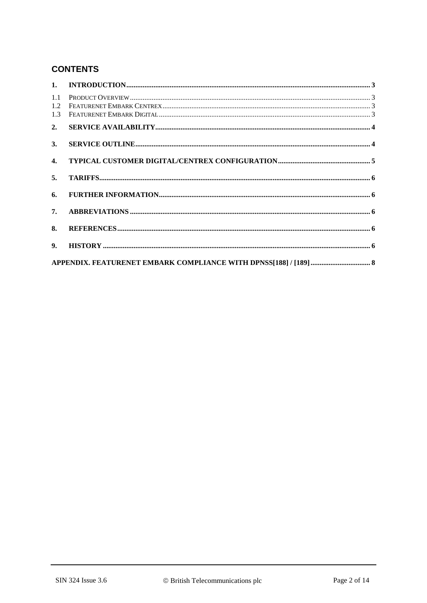# **CONTENTS**

| 1.1<br>1.2<br>1.3 |  |
|-------------------|--|
| 2.                |  |
| 3.                |  |
| $\mathbf{4}$      |  |
| 5.                |  |
| 6.                |  |
| 7.                |  |
| 8.                |  |
| 9.                |  |
|                   |  |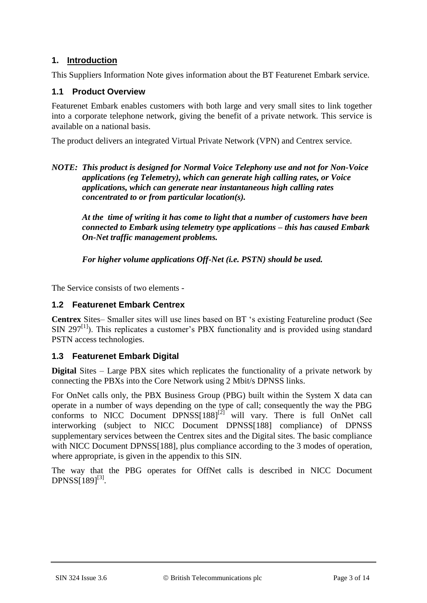## **1. Introduction**

This Suppliers Information Note gives information about the BT Featurenet Embark service.

## **1.1 Product Overview**

Featurenet Embark enables customers with both large and very small sites to link together into a corporate telephone network, giving the benefit of a private network. This service is available on a national basis.

The product delivers an integrated Virtual Private Network (VPN) and Centrex service.

*NOTE: This product is designed for Normal Voice Telephony use and not for Non-Voice applications (eg Telemetry), which can generate high calling rates, or Voice applications, which can generate near instantaneous high calling rates concentrated to or from particular location(s).*

*At the time of writing it has come to light that a number of customers have been connected to Embark using telemetry type applications – this has caused Embark On-Net traffic management problems.*

*For higher volume applications Off-Net (i.e. PSTN) should be used.*

The Service consists of two elements -

## **1.2 Featurenet Embark Centrex**

**Centrex** Sites– Smaller sites will use lines based on BT 's existing Featureline product (See  $SIN$  297<sup>[\[1\]](#page-5-0)</sup>). This replicates a customer's PBX functionality and is provided using standard PSTN access technologies.

## **1.3 Featurenet Embark Digital**

**Digital** Sites – Large PBX sites which replicates the functionality of a private network by connecting the PBXs into the Core Network using 2 Mbit/s DPNSS links.

For OnNet calls only, the PBX Business Group (PBG) built within the System X data can operate in a number of ways depending on the type of call; consequently the way the PBG conforms to NICC Document DPNSS $[188]^{[2]}$  $[188]^{[2]}$  $[188]^{[2]}$  will vary. There is full OnNet call interworking (subject to NICC Document DPNSS[188] compliance) of DPNSS supplementary services between the Centrex sites and the Digital sites. The basic compliance with NICC Document DPNSS[188], plus compliance according to the 3 modes of operation, where appropriate, is given in the appendix to this SIN.

The way that the PBG operates for OffNet calls is described in NICC Document  $DPNSS[189]^{[3]}$  $DPNSS[189]^{[3]}$  $DPNSS[189]^{[3]}$ .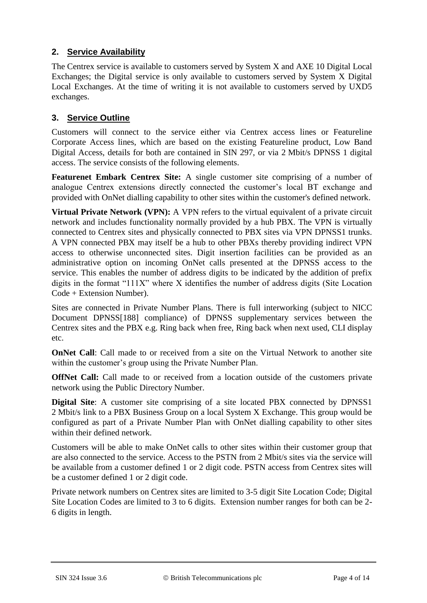## **2. Service Availability**

The Centrex service is available to customers served by System X and AXE 10 Digital Local Exchanges; the Digital service is only available to customers served by System X Digital Local Exchanges. At the time of writing it is not available to customers served by UXD5 exchanges.

## **3. Service Outline**

Customers will connect to the service either via Centrex access lines or Featureline Corporate Access lines, which are based on the existing Featureline product, Low Band Digital Access, details for both are contained in SIN 297, or via 2 Mbit/s DPNSS 1 digital access. The service consists of the following elements.

**Featurenet Embark Centrex Site:** A single customer site comprising of a number of analogue Centrex extensions directly connected the customer's local BT exchange and provided with OnNet dialling capability to other sites within the customer's defined network.

**Virtual Private Network (VPN):** A VPN refers to the virtual equivalent of a private circuit network and includes functionality normally provided by a hub PBX. The VPN is virtually connected to Centrex sites and physically connected to PBX sites via VPN DPNSS1 trunks. A VPN connected PBX may itself be a hub to other PBXs thereby providing indirect VPN access to otherwise unconnected sites. Digit insertion facilities can be provided as an administrative option on incoming OnNet calls presented at the DPNSS access to the service. This enables the number of address digits to be indicated by the addition of prefix digits in the format "111X" where X identifies the number of address digits (Site Location Code + Extension Number).

Sites are connected in Private Number Plans. There is full interworking (subject to NICC Document DPNSS[188] compliance) of DPNSS supplementary services between the Centrex sites and the PBX e.g. Ring back when free, Ring back when next used, CLI display etc.

**OnNet Call**: Call made to or received from a site on the Virtual Network to another site within the customer's group using the Private Number Plan.

**OffNet Call:** Call made to or received from a location outside of the customers private network using the Public Directory Number.

**Digital Site**: A customer site comprising of a site located PBX connected by DPNSS1 2 Mbit/s link to a PBX Business Group on a local System X Exchange. This group would be configured as part of a Private Number Plan with OnNet dialling capability to other sites within their defined network.

Customers will be able to make OnNet calls to other sites within their customer group that are also connected to the service. Access to the PSTN from 2 Mbit/s sites via the service will be available from a customer defined 1 or 2 digit code. PSTN access from Centrex sites will be a customer defined 1 or 2 digit code.

Private network numbers on Centrex sites are limited to 3-5 digit Site Location Code; Digital Site Location Codes are limited to 3 to 6 digits. Extension number ranges for both can be 2- 6 digits in length.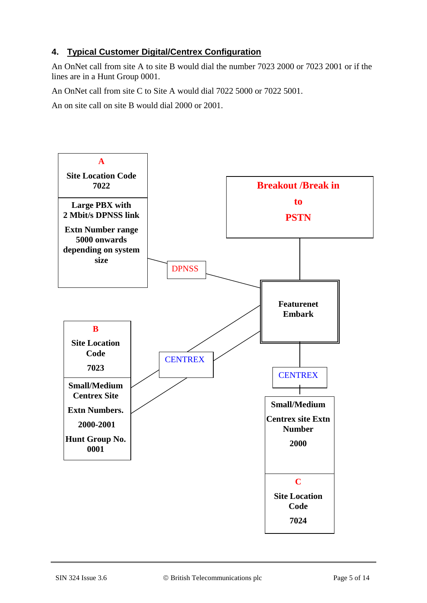## **4. Typical Customer Digital/Centrex Configuration**

An OnNet call from site A to site B would dial the number 7023 2000 or 7023 2001 or if the lines are in a Hunt Group 0001.

An OnNet call from site C to Site A would dial 7022 5000 or 7022 5001.

An on site call on site B would dial 2000 or 2001.

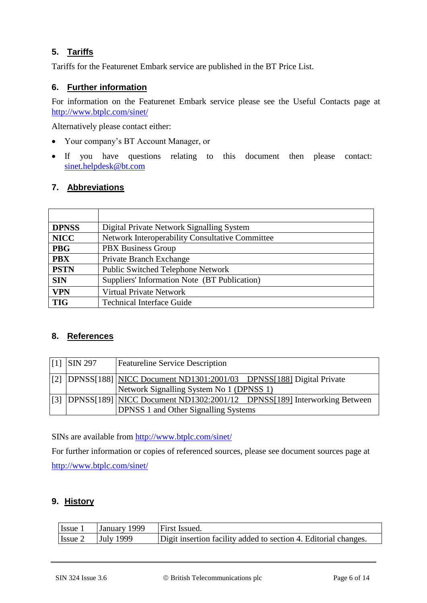## **5. Tariffs**

Tariffs for the Featurenet Embark service are published in the BT Price List.

## **6. Further information**

For information on the Featurenet Embark service please see the Useful Contacts page at <http://www.btplc.com/sinet/>

Alternatively please contact either:

- Your company's BT Account Manager, or
- If you have questions relating to this document then please contact: [sinet.helpdesk@bt.com](mailto:sinet.helpdesk@bt.com)

#### **7. Abbreviations**

| <b>DPNSS</b> | Digital Private Network Signalling System       |
|--------------|-------------------------------------------------|
| <b>NICC</b>  | Network Interoperability Consultative Committee |
| <b>PBG</b>   | <b>PBX Business Group</b>                       |
| <b>PBX</b>   | Private Branch Exchange                         |
| <b>PSTN</b>  | <b>Public Switched Telephone Network</b>        |
| <b>SIN</b>   | Suppliers' Information Note (BT Publication)    |
| <b>VPN</b>   | <b>Virtual Private Network</b>                  |
| <b>TIG</b>   | <b>Technical Interface Guide</b>                |

#### **8. References**

<span id="page-5-1"></span><span id="page-5-0"></span>

| $\vert$ [1] SIN 297 | <b>Featureline Service Description</b>                                                                                     |
|---------------------|----------------------------------------------------------------------------------------------------------------------------|
|                     | [[2] DPNSS[188] NICC Document ND1301:2001/03 DPNSS[188] Digital Private<br>Network Signalling System No 1 (DPNSS 1)        |
|                     | [3] DPNSS[189] NICC Document ND1302:2001/12 DPNSS[189] Interworking Between<br><b>DPNSS 1 and Other Signalling Systems</b> |

<span id="page-5-2"></span>SINs are available from<http://www.btplc.com/sinet/>

For further information or copies of referenced sources, please see document sources page at <http://www.btplc.com/sinet/>

## **9. History**

| Issue 1 | January 1999     | <b>First Issued.</b>                                            |
|---------|------------------|-----------------------------------------------------------------|
| Issue 2 | <b>July 1999</b> | Digit insertion facility added to section 4. Editorial changes. |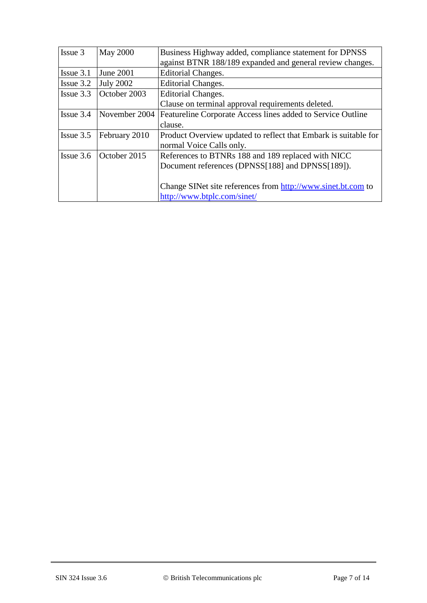| Issue 3        | <b>May 2000</b>  | Business Highway added, compliance statement for DPNSS          |
|----------------|------------------|-----------------------------------------------------------------|
|                |                  | against BTNR 188/189 expanded and general review changes.       |
| Issue 3.1      | June 2001        | Editorial Changes.                                              |
| $I$ ssue $3.2$ | <b>July 2002</b> | Editorial Changes.                                              |
| Issue $3.3$    | October 2003     | Editorial Changes.                                              |
|                |                  | Clause on terminal approval requirements deleted.               |
| Issue 3.4      | November 2004    | Featureline Corporate Access lines added to Service Outline     |
|                |                  | clause.                                                         |
| Issue 3.5      | February 2010    | Product Overview updated to reflect that Embark is suitable for |
|                |                  | normal Voice Calls only.                                        |
| Issue 3.6      | October 2015     | References to BTNRs 188 and 189 replaced with NICC              |
|                |                  | Document references (DPNSS[188] and DPNSS[189]).                |
|                |                  |                                                                 |
|                |                  | Change SINet site references from http://www.sinet.bt.com to    |
|                |                  | http://www.btplc.com/sinet/                                     |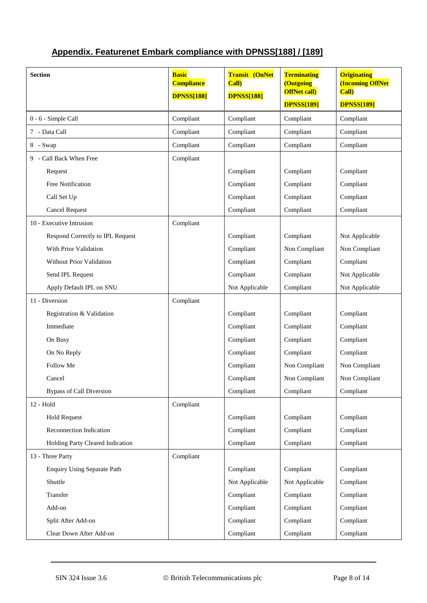| <b>Section</b>                     | <b>Basic</b><br><b>Compliance</b> | <b>Transit (OnNet</b><br>Call) | <b>Terminating</b><br>(Outgoing          | <b>Originating</b><br><b>(Incoming OffNet</b> |
|------------------------------------|-----------------------------------|--------------------------------|------------------------------------------|-----------------------------------------------|
|                                    | <b>DPNSS[188]</b>                 | <b>DPNSS[188]</b>              | <b>OffNet call)</b><br><b>DPNSS[189]</b> | <b>Call</b> )<br><b>DPNSS[189]</b>            |
| 0 - 6 - Simple Call                | Compliant                         | Compliant                      | Compliant                                | Compliant                                     |
| 7 - Data Call                      | Compliant                         | Compliant                      | Compliant                                | Compliant                                     |
| 8 - Swap                           | Compliant                         | Compliant                      | Compliant                                | Compliant                                     |
| 9 - Call Back When Free            | Compliant                         |                                |                                          |                                               |
| Request                            |                                   | Compliant                      | Compliant                                | Compliant                                     |
| <b>Free Notification</b>           |                                   | Compliant                      | Compliant                                | Compliant                                     |
| Call Set Up                        |                                   | Compliant                      | Compliant                                | Compliant                                     |
| <b>Cancel Request</b>              |                                   | Compliant                      | Compliant                                | Compliant                                     |
| 10 - Executive Intrusion           | Compliant                         |                                |                                          |                                               |
| Respond Correctly to IPL Request   |                                   | Compliant                      | Compliant                                | Not Applicable                                |
| With Prior Validation              |                                   | Compliant                      | Non Compliant                            | Non Compliant                                 |
| Without Prior Validation           |                                   | Compliant                      | Compliant                                | Compliant                                     |
| Send IPL Request                   |                                   | Compliant                      | Compliant                                | Not Applicable                                |
| Apply Default IPL on SNU           |                                   | Not Applicable                 | Compliant                                | Not Applicable                                |
| 11 - Diversion                     | Compliant                         |                                |                                          |                                               |
| Registration & Validation          |                                   | Compliant                      | Compliant                                | Compliant                                     |
| Immediate                          |                                   | Compliant                      | Compliant                                | Compliant                                     |
| On Busy                            |                                   | Compliant                      | Compliant                                | Compliant                                     |
| On No Reply                        |                                   | Compliant                      | Compliant                                | Compliant                                     |
| Follow Me                          |                                   | Compliant                      | Non Compliant                            | Non Compliant                                 |
| Cancel                             |                                   | Compliant                      | Non Compliant                            | Non Compliant                                 |
| <b>Bypass of Call Diversion</b>    |                                   | Compliant                      | Compliant                                | Compliant                                     |
| 12 - Hold                          | Compliant                         |                                |                                          |                                               |
| <b>Hold Request</b>                |                                   | Compliant                      | Compliant                                | Compliant                                     |
| Reconnection Indication            |                                   | Compliant                      | Compliant                                | Compliant                                     |
| Holding Party Cleared Indication   |                                   | Compliant                      | Compliant                                | Compliant                                     |
| 13 - Three Party                   | Compliant                         |                                |                                          |                                               |
| <b>Enquiry Using Separate Path</b> |                                   | Compliant                      | Compliant                                | Compliant                                     |
| Shuttle                            |                                   | Not Applicable                 | Not Applicable                           | Compliant                                     |
| Transfer                           |                                   | Compliant                      | Compliant                                | Compliant                                     |
| Add-on                             |                                   | Compliant                      | Compliant                                | Compliant                                     |
| Split After Add-on                 |                                   | Compliant                      | Compliant                                | Compliant                                     |
| Clear Down After Add-on            |                                   | Compliant                      | Compliant                                | Compliant                                     |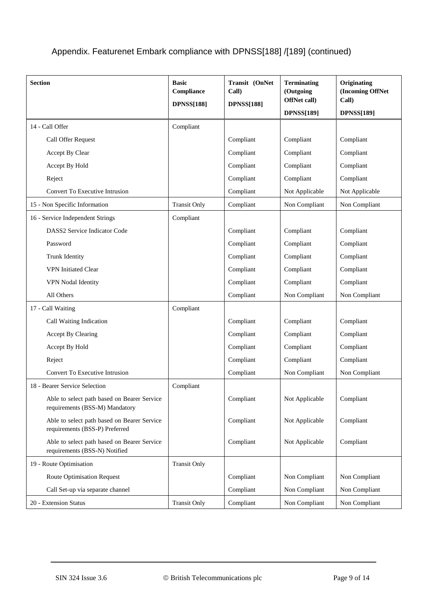| <b>Section</b>                                                                | <b>Basic</b><br>Compliance<br><b>DPNSS[188]</b> | Transit (OnNet<br>Call)<br><b>DPNSS[188]</b> | <b>Terminating</b><br>(Outgoing<br>OffNet call)<br><b>DPNSS[189]</b> | Originating<br>(Incoming OffNet<br>Call)<br><b>DPNSS[189]</b> |
|-------------------------------------------------------------------------------|-------------------------------------------------|----------------------------------------------|----------------------------------------------------------------------|---------------------------------------------------------------|
| 14 - Call Offer                                                               | Compliant                                       |                                              |                                                                      |                                                               |
| Call Offer Request                                                            |                                                 | Compliant                                    | Compliant                                                            | Compliant                                                     |
| Accept By Clear                                                               |                                                 | Compliant                                    | Compliant                                                            | Compliant                                                     |
| Accept By Hold                                                                |                                                 | Compliant                                    | Compliant                                                            | Compliant                                                     |
| Reject                                                                        |                                                 | Compliant                                    | Compliant                                                            | Compliant                                                     |
| Convert To Executive Intrusion                                                |                                                 | Compliant                                    | Not Applicable                                                       | Not Applicable                                                |
| 15 - Non Specific Information                                                 | <b>Transit Only</b>                             | Compliant                                    | Non Compliant                                                        | Non Compliant                                                 |
| 16 - Service Independent Strings                                              | Compliant                                       |                                              |                                                                      |                                                               |
| DASS2 Service Indicator Code                                                  |                                                 | Compliant                                    | Compliant                                                            | Compliant                                                     |
| Password                                                                      |                                                 | Compliant                                    | Compliant                                                            | Compliant                                                     |
| Trunk Identity                                                                |                                                 | Compliant                                    | Compliant                                                            | Compliant                                                     |
| <b>VPN</b> Initiated Clear                                                    |                                                 | Compliant                                    | Compliant                                                            | Compliant                                                     |
| VPN Nodal Identity                                                            |                                                 | Compliant                                    | Compliant                                                            | Compliant                                                     |
| All Others                                                                    |                                                 | Compliant                                    | Non Compliant                                                        | Non Compliant                                                 |
| 17 - Call Waiting                                                             | Compliant                                       |                                              |                                                                      |                                                               |
| Call Waiting Indication                                                       |                                                 | Compliant                                    | Compliant                                                            | Compliant                                                     |
| Accept By Clearing                                                            |                                                 | Compliant                                    | Compliant                                                            | Compliant                                                     |
| Accept By Hold                                                                |                                                 | Compliant                                    | Compliant                                                            | Compliant                                                     |
| Reject                                                                        |                                                 | Compliant                                    | Compliant                                                            | Compliant                                                     |
| Convert To Executive Intrusion                                                |                                                 | Compliant                                    | Non Compliant                                                        | Non Compliant                                                 |
| 18 - Bearer Service Selection                                                 | Compliant                                       |                                              |                                                                      |                                                               |
| Able to select path based on Bearer Service<br>requirements (BSS-M) Mandatory |                                                 | Compliant                                    | Not Applicable                                                       | Compliant                                                     |
| Able to select path based on Bearer Service<br>requirements (BSS-P) Preferred |                                                 | Compliant                                    | Not Applicable                                                       | Compliant                                                     |
| Able to select path based on Bearer Service<br>requirements (BSS-N) Notified  |                                                 | Compliant                                    | Not Applicable                                                       | Compliant                                                     |
| 19 - Route Optimisation                                                       | <b>Transit Only</b>                             |                                              |                                                                      |                                                               |
| <b>Route Optimisation Request</b>                                             |                                                 | Compliant                                    | Non Compliant                                                        | Non Compliant                                                 |
| Call Set-up via separate channel                                              |                                                 | Compliant                                    | Non Compliant                                                        | Non Compliant                                                 |
| 20 - Extension Status                                                         | <b>Transit Only</b>                             | Compliant                                    | Non Compliant                                                        | Non Compliant                                                 |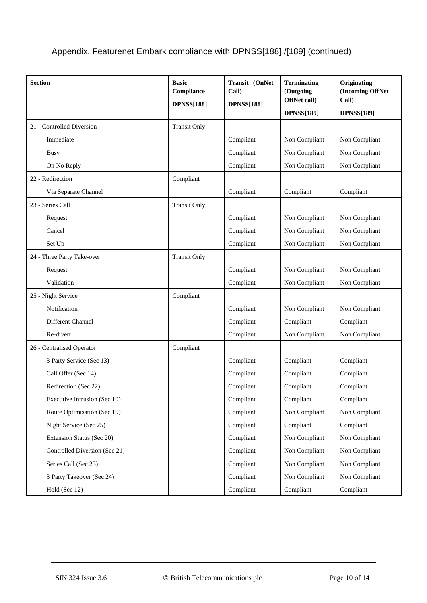| <b>Section</b>                | <b>Basic</b><br>Compliance<br><b>DPNSS[188]</b> | Transit (OnNet<br>Call)<br><b>DPNSS[188]</b> | <b>Terminating</b><br>(Outgoing<br>OffNet call)<br><b>DPNSS[189]</b> | Originating<br>(Incoming OffNet<br>Call)<br><b>DPNSS[189]</b> |
|-------------------------------|-------------------------------------------------|----------------------------------------------|----------------------------------------------------------------------|---------------------------------------------------------------|
| 21 - Controlled Diversion     | <b>Transit Only</b>                             |                                              |                                                                      |                                                               |
| Immediate                     |                                                 | Compliant                                    | Non Compliant                                                        | Non Compliant                                                 |
| <b>Busy</b>                   |                                                 | Compliant                                    | Non Compliant                                                        | Non Compliant                                                 |
| On No Reply                   |                                                 | Compliant                                    | Non Compliant                                                        | Non Compliant                                                 |
| 22 - Redirection              | Compliant                                       |                                              |                                                                      |                                                               |
| Via Separate Channel          |                                                 | Compliant                                    | Compliant                                                            | Compliant                                                     |
| 23 - Series Call              | <b>Transit Only</b>                             |                                              |                                                                      |                                                               |
| Request                       |                                                 | Compliant                                    | Non Compliant                                                        | Non Compliant                                                 |
| Cancel                        |                                                 | Compliant                                    | Non Compliant                                                        | Non Compliant                                                 |
| Set Up                        |                                                 | Compliant                                    | Non Compliant                                                        | Non Compliant                                                 |
| 24 - Three Party Take-over    | <b>Transit Only</b>                             |                                              |                                                                      |                                                               |
| Request                       |                                                 | Compliant                                    | Non Compliant                                                        | Non Compliant                                                 |
| Validation                    |                                                 | Compliant                                    | Non Compliant                                                        | Non Compliant                                                 |
| 25 - Night Service            | Compliant                                       |                                              |                                                                      |                                                               |
| Notification                  |                                                 | Compliant                                    | Non Compliant                                                        | Non Compliant                                                 |
| Different Channel             |                                                 | Compliant                                    | Compliant                                                            | Compliant                                                     |
| Re-divert                     |                                                 | Compliant                                    | Non Compliant                                                        | Non Compliant                                                 |
| 26 - Centralised Operator     | Compliant                                       |                                              |                                                                      |                                                               |
| 3 Party Service (Sec 13)      |                                                 | Compliant                                    | Compliant                                                            | Compliant                                                     |
| Call Offer (Sec 14)           |                                                 | Compliant                                    | Compliant                                                            | Compliant                                                     |
| Redirection (Sec 22)          |                                                 | Compliant                                    | Compliant                                                            | Compliant                                                     |
| Executive Intrusion (Sec 10)  |                                                 | Compliant                                    | Compliant                                                            | Compliant                                                     |
| Route Optimisation (Sec 19)   |                                                 | Compliant                                    | Non Compliant                                                        | Non Compliant                                                 |
| Night Service (Sec 25)        |                                                 | Compliant                                    | Compliant                                                            | Compliant                                                     |
| Extension Status (Sec 20)     |                                                 | Compliant                                    | Non Compliant                                                        | Non Compliant                                                 |
| Controlled Diversion (Sec 21) |                                                 | Compliant                                    | Non Compliant                                                        | Non Compliant                                                 |
| Series Call (Sec 23)          |                                                 | Compliant                                    | Non Compliant                                                        | Non Compliant                                                 |
| 3 Party Takeover (Sec 24)     |                                                 | Compliant                                    | Non Compliant                                                        | Non Compliant                                                 |
| Hold (Sec 12)                 |                                                 | Compliant                                    | Compliant                                                            | Compliant                                                     |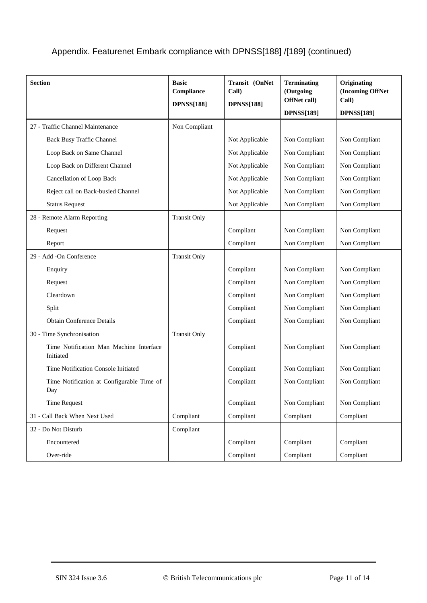| <b>Section</b>                                       | <b>Basic</b><br>Compliance<br><b>DPNSS[188]</b> | Transit (OnNet<br>Call)<br><b>DPNSS[188]</b> | <b>Terminating</b><br>(Outgoing<br>OffNet call) | Originating<br>(Incoming OffNet<br>Call) |
|------------------------------------------------------|-------------------------------------------------|----------------------------------------------|-------------------------------------------------|------------------------------------------|
|                                                      |                                                 |                                              | <b>DPNSS[189]</b>                               | <b>DPNSS[189]</b>                        |
| 27 - Traffic Channel Maintenance                     | Non Compliant                                   |                                              |                                                 |                                          |
| Back Busy Traffic Channel                            |                                                 | Not Applicable                               | Non Compliant                                   | Non Compliant                            |
| Loop Back on Same Channel                            |                                                 | Not Applicable                               | Non Compliant                                   | Non Compliant                            |
| Loop Back on Different Channel                       |                                                 | Not Applicable                               | Non Compliant                                   | Non Compliant                            |
| Cancellation of Loop Back                            |                                                 | Not Applicable                               | Non Compliant                                   | Non Compliant                            |
| Reject call on Back-busied Channel                   |                                                 | Not Applicable                               | Non Compliant                                   | Non Compliant                            |
| <b>Status Request</b>                                |                                                 | Not Applicable                               | Non Compliant                                   | Non Compliant                            |
| 28 - Remote Alarm Reporting                          | <b>Transit Only</b>                             |                                              |                                                 |                                          |
| Request                                              |                                                 | Compliant                                    | Non Compliant                                   | Non Compliant                            |
| Report                                               |                                                 | Compliant                                    | Non Compliant                                   | Non Compliant                            |
| 29 - Add -On Conference                              | <b>Transit Only</b>                             |                                              |                                                 |                                          |
| Enquiry                                              |                                                 | Compliant                                    | Non Compliant                                   | Non Compliant                            |
| Request                                              |                                                 | Compliant                                    | Non Compliant                                   | Non Compliant                            |
| Cleardown                                            |                                                 | Compliant                                    | Non Compliant                                   | Non Compliant                            |
| Split                                                |                                                 | Compliant                                    | Non Compliant                                   | Non Compliant                            |
| <b>Obtain Conference Details</b>                     |                                                 | Compliant                                    | Non Compliant                                   | Non Compliant                            |
| 30 - Time Synchronisation                            | <b>Transit Only</b>                             |                                              |                                                 |                                          |
| Time Notification Man Machine Interface<br>Initiated |                                                 | Compliant                                    | Non Compliant                                   | Non Compliant                            |
| Time Notification Console Initiated                  |                                                 | Compliant                                    | Non Compliant                                   | Non Compliant                            |
| Time Notification at Configurable Time of<br>Day     |                                                 | Compliant                                    | Non Compliant                                   | Non Compliant                            |
| <b>Time Request</b>                                  |                                                 | Compliant                                    | Non Compliant                                   | Non Compliant                            |
| 31 - Call Back When Next Used                        | Compliant                                       | Compliant                                    | Compliant                                       | Compliant                                |
| 32 - Do Not Disturb                                  | Compliant                                       |                                              |                                                 |                                          |
| Encountered                                          |                                                 | Compliant                                    | Compliant                                       | Compliant                                |
| Over-ride                                            |                                                 | Compliant                                    | Compliant                                       | Compliant                                |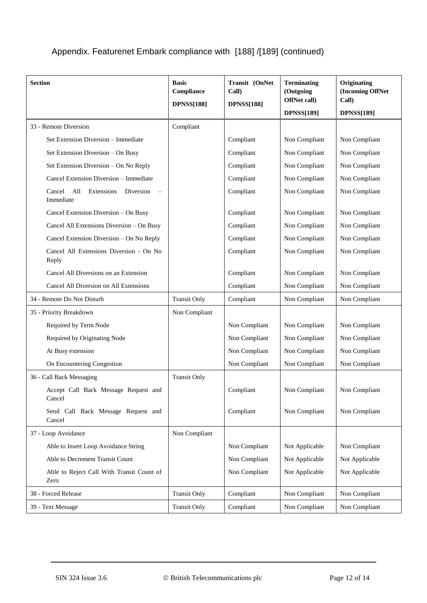| <b>Section</b>                                        | <b>Basic</b><br>Compliance<br><b>DPNSS[188]</b> | Transit (OnNet<br>Call)<br><b>DPNSS[188]</b> | <b>Terminating</b><br>(Outgoing<br>OffNet call)<br><b>DPNSS[189]</b> | Originating<br>(Incoming OffNet<br>Call)<br><b>DPNSS[189]</b> |
|-------------------------------------------------------|-------------------------------------------------|----------------------------------------------|----------------------------------------------------------------------|---------------------------------------------------------------|
| 33 - Remote Diversion                                 | Compliant                                       |                                              |                                                                      |                                                               |
| Set Extension Diversion - Immediate                   |                                                 | Compliant                                    | Non Compliant                                                        | Non Compliant                                                 |
| Set Extension Diversion - On Busy                     |                                                 | Compliant                                    | Non Compliant                                                        | Non Compliant                                                 |
| Set Extension Diversion - On No Reply                 |                                                 | Compliant                                    | Non Compliant                                                        | Non Compliant                                                 |
| Cancel Extension Diversion - Immediate                |                                                 | Compliant                                    | Non Compliant                                                        | Non Compliant                                                 |
| All<br>Extensions<br>Diversion<br>Cancel<br>Immediate |                                                 | Compliant                                    | Non Compliant                                                        | Non Compliant                                                 |
| Cancel Extension Diversion - On Busy                  |                                                 | Compliant                                    | Non Compliant                                                        | Non Compliant                                                 |
| Cancel All Extensions Diversion - On Busy             |                                                 | Compliant                                    | Non Compliant                                                        | Non Compliant                                                 |
| Cancel Extension Diversion - On No Reply              |                                                 | Compliant                                    | Non Compliant                                                        | Non Compliant                                                 |
| Cancel All Extensions Diversion - On No<br>Reply      |                                                 | Compliant                                    | Non Compliant                                                        | Non Compliant                                                 |
| Cancel All Diversions on an Extension                 |                                                 | Compliant                                    | Non Compliant                                                        | Non Compliant                                                 |
| Cancel All Diversion on All Extensions                |                                                 | Compliant                                    | Non Compliant                                                        | Non Compliant                                                 |
| 34 - Remote Do Not Disturb                            | <b>Transit Only</b>                             | Compliant                                    | Non Compliant                                                        | Non Compliant                                                 |
| 35 - Priority Breakdown                               | Non Compliant                                   |                                              |                                                                      |                                                               |
| Required by Term Node                                 |                                                 | Non Compliant                                | Non Compliant                                                        | Non Compliant                                                 |
| Required by Originating Node                          |                                                 | Non Compliant                                | Non Compliant                                                        | Non Compliant                                                 |
| At Busy extension                                     |                                                 | Non Compliant                                | Non Compliant                                                        | Non Compliant                                                 |
| On Encountering Congestion                            |                                                 | Non Compliant                                | Non Compliant                                                        | Non Compliant                                                 |
| 36 - Call Back Messaging                              | <b>Transit Only</b>                             |                                              |                                                                      |                                                               |
| Accept Call Back Message Request and<br>Cancel        |                                                 | Compliant                                    | Non Compliant                                                        | Non Compliant                                                 |
| Send Call Back Message Request and<br>Cancel          |                                                 | Compliant                                    | Non Compliant                                                        | Non Compliant                                                 |
| 37 - Loop Avoidance                                   | Non Compliant                                   |                                              |                                                                      |                                                               |
| Able to Insert Loop Avoidance String                  |                                                 | Non Compliant                                | Not Applicable                                                       | Non Compliant                                                 |
| Able to Decrement Transit Count                       |                                                 | Non Compliant                                | Not Applicable                                                       | Not Applicable                                                |
| Able to Reject Call With Transit Count of<br>Zero     |                                                 | Non Compliant                                | Not Applicable                                                       | Not Applicable                                                |
| 38 - Forced Release                                   | <b>Transit Only</b>                             | Compliant                                    | Non Compliant                                                        | Non Compliant                                                 |
| 39 - Text Message                                     | <b>Transit Only</b>                             | Compliant                                    | Non Compliant                                                        | Non Compliant                                                 |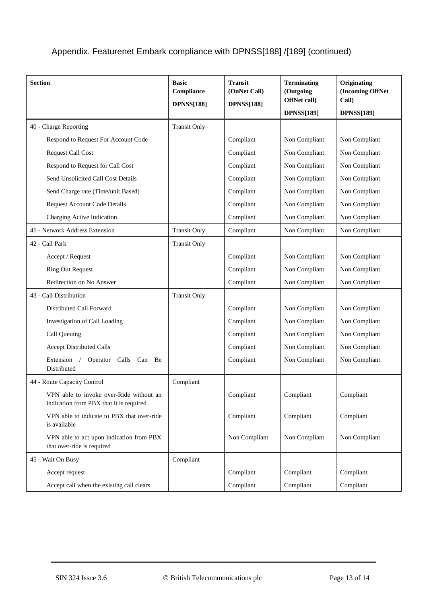| <b>Section</b>                                                                     | <b>Basic</b><br>Compliance<br><b>DPNSS[188]</b> | <b>Transit</b><br>(OnNet Call)<br><b>DPNSS[188]</b> | <b>Terminating</b><br>(Outgoing<br>OffNet call)<br><b>DPNSS[189]</b> | Originating<br>(Incoming OffNet<br>Call)<br><b>DPNSS[189]</b> |
|------------------------------------------------------------------------------------|-------------------------------------------------|-----------------------------------------------------|----------------------------------------------------------------------|---------------------------------------------------------------|
| 40 - Charge Reporting                                                              | <b>Transit Only</b>                             |                                                     |                                                                      |                                                               |
| Respond to Request For Account Code                                                |                                                 | Compliant                                           | Non Compliant                                                        | Non Compliant                                                 |
| <b>Request Call Cost</b>                                                           |                                                 | Compliant                                           | Non Compliant                                                        | Non Compliant                                                 |
| Respond to Request for Call Cost                                                   |                                                 | Compliant                                           | Non Compliant                                                        | Non Compliant                                                 |
| Send Unsolicited Call Cost Details                                                 |                                                 | Compliant                                           | Non Compliant                                                        | Non Compliant                                                 |
| Send Charge rate (Time/unit Based)                                                 |                                                 | Compliant                                           | Non Compliant                                                        | Non Compliant                                                 |
| <b>Request Account Code Details</b>                                                |                                                 | Compliant                                           | Non Compliant                                                        | Non Compliant                                                 |
| Charging Active Indication                                                         |                                                 | Compliant                                           | Non Compliant                                                        | Non Compliant                                                 |
| 41 - Network Address Extension                                                     | <b>Transit Only</b>                             | Compliant                                           | Non Compliant                                                        | Non Compliant                                                 |
| 42 - Call Park                                                                     | <b>Transit Only</b>                             |                                                     |                                                                      |                                                               |
| Accept / Request                                                                   |                                                 | Compliant                                           | Non Compliant                                                        | Non Compliant                                                 |
| <b>Ring Out Request</b>                                                            |                                                 | Compliant                                           | Non Compliant                                                        | Non Compliant                                                 |
| Redirection on No Answer                                                           |                                                 | Compliant                                           | Non Compliant                                                        | Non Compliant                                                 |
| 43 - Call Distribution                                                             | <b>Transit Only</b>                             |                                                     |                                                                      |                                                               |
| Distributed Call Forward                                                           |                                                 | Compliant                                           | Non Compliant                                                        | Non Compliant                                                 |
| Investigation of Call Loading                                                      |                                                 | Compliant                                           | Non Compliant                                                        | Non Compliant                                                 |
| Call Queuing                                                                       |                                                 | Compliant                                           | Non Compliant                                                        | Non Compliant                                                 |
| <b>Accept Distributed Calls</b>                                                    |                                                 | Compliant                                           | Non Compliant                                                        | Non Compliant                                                 |
| Extension<br>Calls<br>Operator<br>Can<br>Be<br>Distributed                         |                                                 | Compliant                                           | Non Compliant                                                        | Non Compliant                                                 |
| 44 - Route Capacity Control                                                        | Compliant                                       |                                                     |                                                                      |                                                               |
| VPN able to invoke over-Ride without an<br>indication from PBX that it is required |                                                 | Compliant                                           | Compliant                                                            | Compliant                                                     |
| VPN able to indicate to PBX that over-ride<br>is available                         |                                                 | Compliant                                           | Compliant                                                            | Compliant                                                     |
| VPN able to act upon indication from PBX<br>that over-ride is required             |                                                 | Non Compliant                                       | Non Compliant                                                        | Non Compliant                                                 |
| 45 - Wait On Busy                                                                  | Compliant                                       |                                                     |                                                                      |                                                               |
| Accept request                                                                     |                                                 | Compliant                                           | Compliant                                                            | Compliant                                                     |
| Accept call when the existing call clears                                          |                                                 | Compliant                                           | Compliant                                                            | Compliant                                                     |